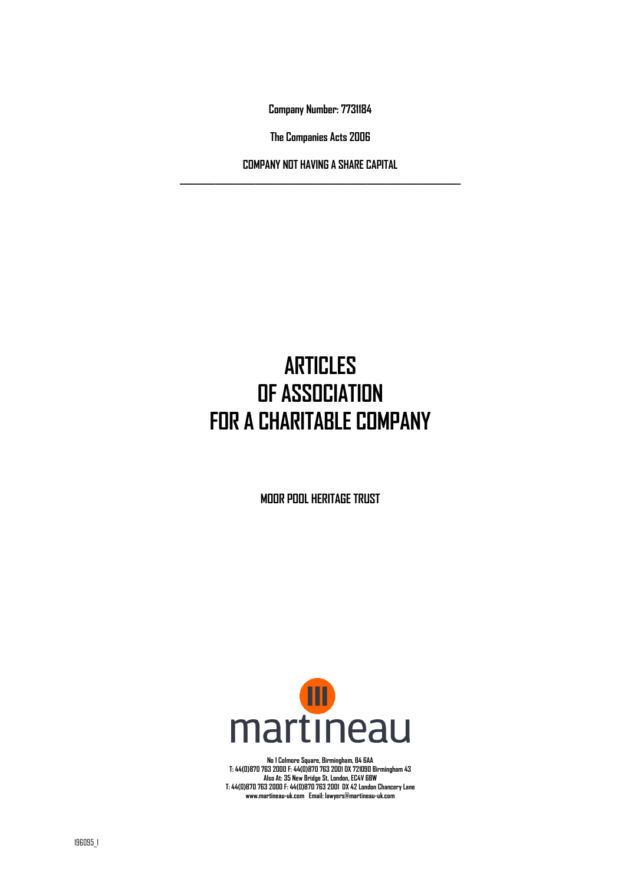**Company Number: 7731184** 

**The Companies Acts 2006** 

**COMPANY NOT HAVING A SHARE CAPITAL \_\_\_\_\_\_\_\_\_\_\_\_\_\_\_\_\_\_\_\_\_\_\_\_\_\_\_\_\_\_\_\_\_\_\_\_\_\_\_\_\_\_\_\_\_\_\_\_\_\_\_\_\_\_\_\_\_\_\_\_\_\_\_** 

# **ARTICLES OF ASSOCIATION FOR A CHARITABLE COMPANY**

**MOOR POOL HERITAGE TRUST** 



**No 1 Colmore Square, Birmingham, B4 6AA T: 44(0)870 763 2000 F: 44(0)870 763 2001 DX 721090 Birmingham 43 Also At: 35 New Bridge St, London, EC4V 6BW T: 44(0)870 763 2000 F: 44(0)870 763 2001 DX 42 London Chancery Lane www.martineau-uk.com Email: lawyers@martineau-uk.com**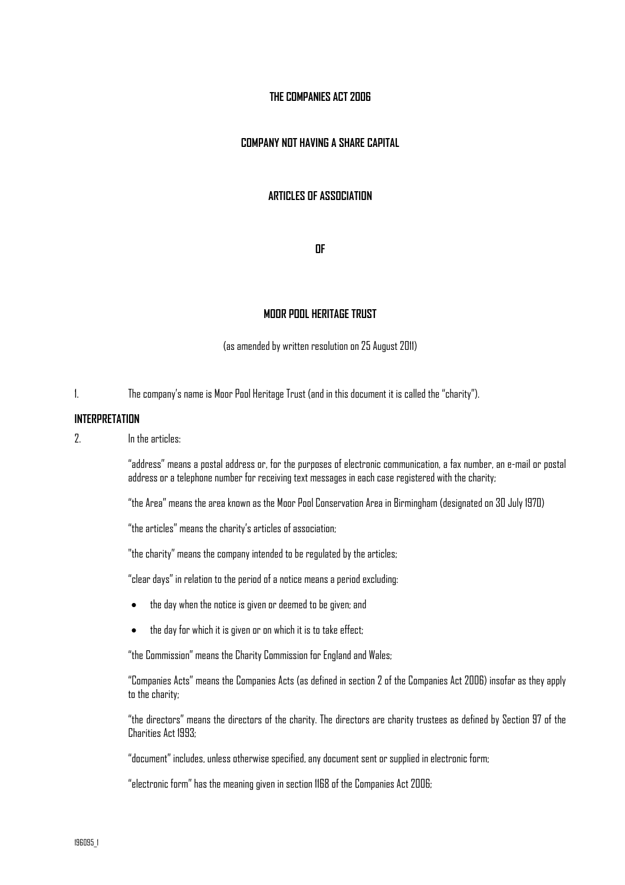# **THE COMPANIES ACT 2006**

# **COMPANY NOT HAVING A SHARE CAPITAL**

## **ARTICLES OF ASSOCIATION**

**OF** 

#### **MOOR POOL HERITAGE TRUST**

(as amended by written resolution on 25 August 2011)

1. The company's name is Moor Pool Heritage Trust (and in this document it is called the "charity").

#### **INTERPRETATION**

2. In the articles:

"address" means a postal address or, for the purposes of electronic communication, a fax number, an e-mail or postal address or a telephone number for receiving text messages in each case registered with the charity;

"the Area" means the area known as the Moor Pool Conservation Area in Birmingham (designated on 30 July 1970)

"the articles" means the charity's articles of association;

"the charity" means the company intended to be regulated by the articles;

"clear days" in relation to the period of a notice means a period excluding:

- the day when the notice is given or deemed to be given; and
- the day for which it is given or on which it is to take effect;

"the Commission" means the Charity Commission for England and Wales;

"Companies Acts" means the Companies Acts (as defined in section 2 of the Companies Act 2006) insofar as they apply to the charity;

"the directors" means the directors of the charity. The directors are charity trustees as defined by Section 97 of the Charities Act 1993;

"document" includes, unless otherwise specified, any document sent or supplied in electronic form;

"electronic form" has the meaning given in section 1168 of the Companies Act 2006;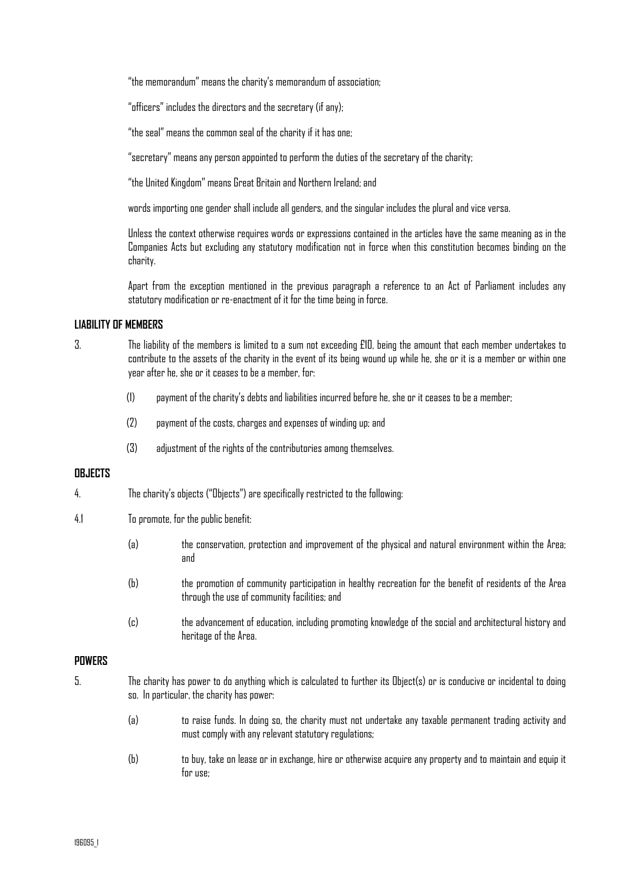"the memorandum" means the charity's memorandum of association;

"officers" includes the directors and the secretary (if any);

"the seal" means the common seal of the charity if it has one;

"secretary" means any person appointed to perform the duties of the secretary of the charity;

"the United Kingdom" means Great Britain and Northern Ireland; and

words importing one gender shall include all genders, and the singular includes the plural and vice versa.

Unless the context otherwise requires words or expressions contained in the articles have the same meaning as in the Companies Acts but excluding any statutory modification not in force when this constitution becomes binding on the charity.

Apart from the exception mentioned in the previous paragraph a reference to an Act of Parliament includes any statutory modification or re-enactment of it for the time being in force.

## **LIABILITY OF MEMBERS**

- 3. The liability of the members is limited to a sum not exceeding £10, being the amount that each member undertakes to contribute to the assets of the charity in the event of its being wound up while he, she or it is a member or within one year after he, she or it ceases to be a member, for:
	- (1) payment of the charity's debts and liabilities incurred before he, she or it ceases to be a member;
	- (2) payment of the costs, charges and expenses of winding up; and
	- (3) adjustment of the rights of the contributories among themselves.

#### **OBJECTS**

- 4. The charity's objects ("Objects") are specifically restricted to the following:
- 4.1 To promote, for the public benefit:
	- (a) the conservation, protection and improvement of the physical and natural environment within the Area; and
	- (b) the promotion of community participation in healthy recreation for the benefit of residents of the Area through the use of community facilities; and
	- (c) the advancement of education, including promoting knowledge of the social and architectural history and heritage of the Area.

#### **POWERS**

- 5. The charity has power to do anything which is calculated to further its Object(s) or is conducive or incidental to doing so. In particular, the charity has power:
	- (a) to raise funds. In doing so, the charity must not undertake any taxable permanent trading activity and must comply with any relevant statutory regulations;
	- (b) to buy, take on lease or in exchange, hire or otherwise acquire any property and to maintain and equip it for use;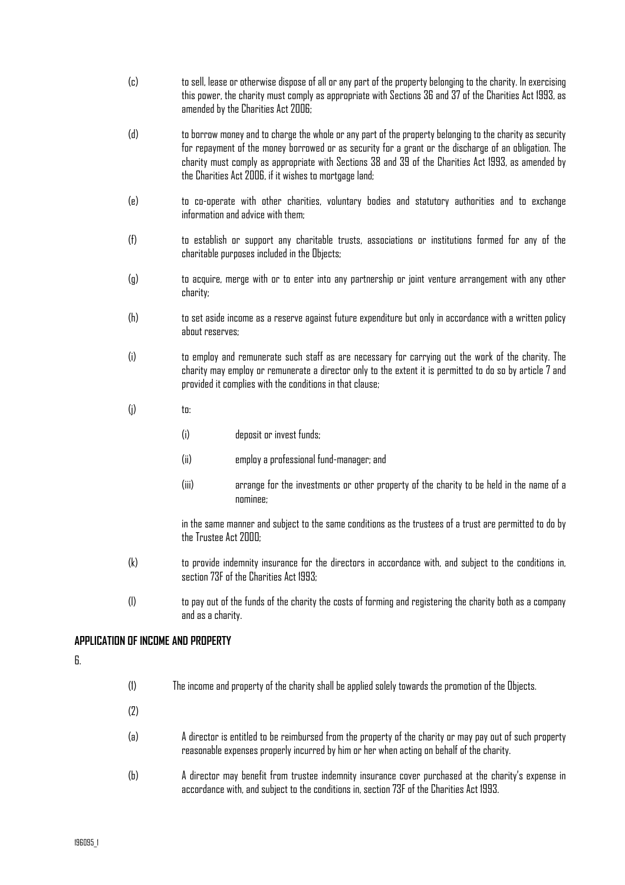- (c) to sell, lease or otherwise dispose of all or any part of the property belonging to the charity. In exercising this power, the charity must comply as appropriate with Sections 36 and 37 of the Charities Act 1993, as amended by the Charities Act 2006;
- (d) to borrow money and to charge the whole or any part of the property belonging to the charity as security for repayment of the money borrowed or as security for a grant or the discharge of an obligation. The charity must comply as appropriate with Sections 38 and 39 of the Charities Act 1993, as amended by the Charities Act 2006, if it wishes to mortgage land;
- (e) to co-operate with other charities, voluntary bodies and statutory authorities and to exchange information and advice with them:
- (f) to establish or support any charitable trusts, associations or institutions formed for any of the charitable purposes included in the Objects;
- (g) to acquire, merge with or to enter into any partnership or joint venture arrangement with any other charity;
- (h) to set aside income as a reserve against future expenditure but only in accordance with a written policy about reserves;
- (i) to employ and remunerate such staff as are necessary for carrying out the work of the charity. The charity may employ or remunerate a director only to the extent it is permitted to do so by article 7 and provided it complies with the conditions in that clause;
- $(i)$  to:
	- (i) deposit or invest funds;
	- (ii) employ a professional fund-manager; and
	- (iii) arrange for the investments or other property of the charity to be held in the name of a nominee;

in the same manner and subject to the same conditions as the trustees of a trust are permitted to do by the Trustee Act 2000.

- (k) to provide indemnity insurance for the directors in accordance with, and subject to the conditions in, section 73F of the Charities Act 1993;
- (l) to pay out of the funds of the charity the costs of forming and registering the charity both as a company and as a charity.

# **APPLICATION OF INCOME AND PROPERTY**

6.

| (1) | The income and property of the charity shall be applied solely towards the promotion of the Objects.                                                                                                  |
|-----|-------------------------------------------------------------------------------------------------------------------------------------------------------------------------------------------------------|
| (2) |                                                                                                                                                                                                       |
| (a) | A director is entitled to be reimbursed from the property of the charity or may pay out of such property<br>reasonable expenses properly incurred by him or her when acting on behalf of the charity. |
| (b) | A director may benefit from trustee indemnity insurance cover purchased at the charity's expense in<br>accordance with, and subject to the conditions in, section 73F of the Charities Act 1993.      |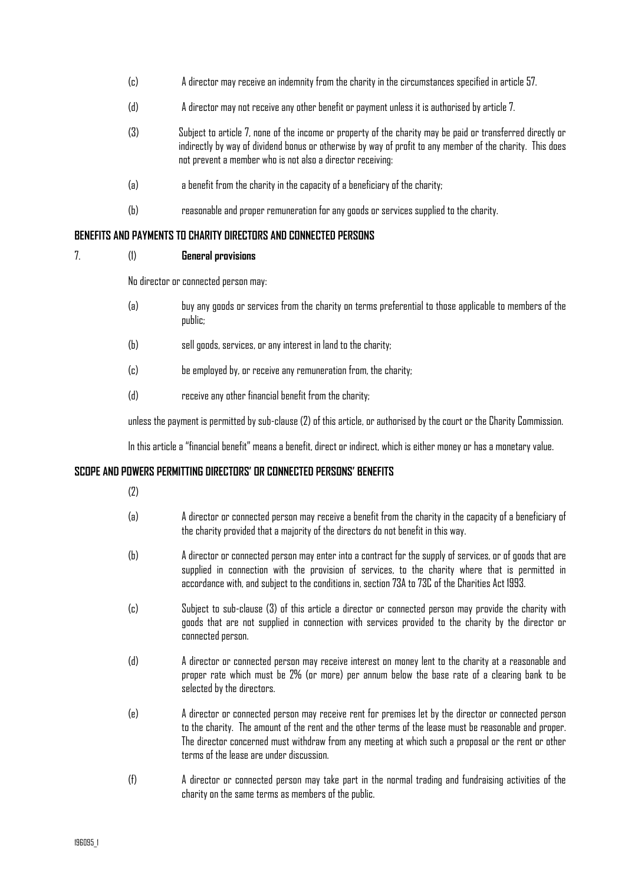- (c) A director may receive an indemnity from the charity in the circumstances specified in article 57.
- (d) A director may not receive any other benefit or payment unless it is authorised by article 7.
- (3) Subject to article 7, none of the income or property of the charity may be paid or transferred directly or indirectly by way of dividend bonus or otherwise by way of profit to any member of the charity. This does not prevent a member who is not also a director receiving:
- (a) a benefit from the charity in the capacity of a beneficiary of the charity;
- (b) reasonable and proper remuneration for any goods or services supplied to the charity.

## **BENEFITS AND PAYMENTS TO CHARITY DIRECTORS AND CONNECTED PERSONS**

## 7. (1) **General provisions**

No director or connected person may:

- (a) buy any goods or services from the charity on terms preferential to those applicable to members of the public;
- (b) sell goods, services, or any interest in land to the charity;
- (c) be employed by, or receive any remuneration from, the charity;
- (d) receive any other financial benefit from the charity;

unless the payment is permitted by sub-clause (2) of this article, or authorised by the court or the Charity Commission.

In this article a "financial benefit" means a benefit, direct or indirect, which is either money or has a monetary value.

## **SCOPE AND POWERS PERMITTING DIRECTORS' OR CONNECTED PERSONS' BENEFITS**

 $(7)$ 

- (a) A director or connected person may receive a benefit from the charity in the capacity of a beneficiary of the charity provided that a majority of the directors do not benefit in this way.
- (b) A director or connected person may enter into a contract for the supply of services, or of goods that are supplied in connection with the provision of services, to the charity where that is permitted in accordance with, and subject to the conditions in, section 73A to 73C of the Charities Act 1993.
- (c) Subject to sub-clause (3) of this article a director or connected person may provide the charity with goods that are not supplied in connection with services provided to the charity by the director or connected person.
- (d) A director or connected person may receive interest on money lent to the charity at a reasonable and proper rate which must be 2% (or more) per annum below the base rate of a clearing bank to be selected by the directors.
- (e) A director or connected person may receive rent for premises let by the director or connected person to the charity. The amount of the rent and the other terms of the lease must be reasonable and proper. The director concerned must withdraw from any meeting at which such a proposal or the rent or other terms of the lease are under discussion.
- (f) A director or connected person may take part in the normal trading and fundraising activities of the charity on the same terms as members of the public.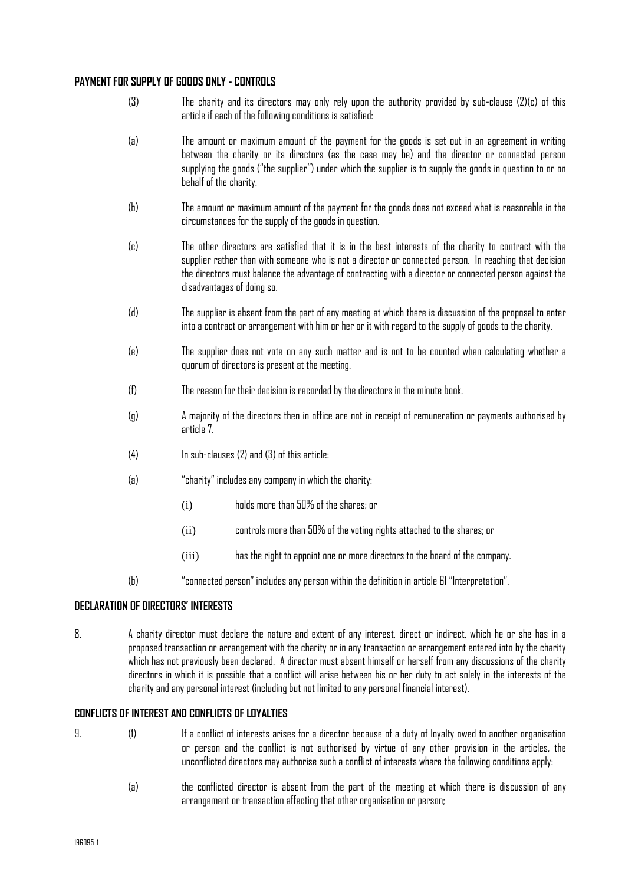# **PAYMENT FOR SUPPLY OF GOODS ONLY - CONTROLS**

- (3) The charity and its directors may only rely upon the authority provided by sub-clause (2)(c) of this article if each of the following conditions is satisfied:
- (a) The amount or maximum amount of the payment for the goods is set out in an agreement in writing between the charity or its directors (as the case may be) and the director or connected person supplying the goods ("the supplier") under which the supplier is to supply the goods in question to or on behalf of the charity.
- (b) The amount or maximum amount of the payment for the goods does not exceed what is reasonable in the circumstances for the supply of the goods in question.
- (c) The other directors are satisfied that it is in the best interests of the charity to contract with the supplier rather than with someone who is not a director or connected person. In reaching that decision the directors must balance the advantage of contracting with a director or connected person against the disadvantages of doing so.
- (d) The supplier is absent from the part of any meeting at which there is discussion of the proposal to enter into a contract or arrangement with him or her or it with regard to the supply of goods to the charity.
- (e) The supplier does not vote on any such matter and is not to be counted when calculating whether a quorum of directors is present at the meeting.
- (f) The reason for their decision is recorded by the directors in the minute book.
- (g) A majority of the directors then in office are not in receipt of remuneration or payments authorised by article 7.
- $(4)$  In sub-clauses  $(2)$  and  $(3)$  of this article:
- (a) "charity" includes any company in which the charity:
	- (i) holds more than 50% of the shares; or
	- (ii) controls more than 50% of the voting rights attached to the shares; or
	- (iii) has the right to appoint one or more directors to the board of the company.
- (b) "connected person" includes any person within the definition in article 61 "Interpretation".

## **DECLARATION OF DIRECTORS' INTERESTS**

8. A charity director must declare the nature and extent of any interest, direct or indirect, which he or she has in a proposed transaction or arrangement with the charity or in any transaction or arrangement entered into by the charity which has not previously been declared. A director must absent himself or herself from any discussions of the charity directors in which it is possible that a conflict will arise between his or her duty to act solely in the interests of the charity and any personal interest (including but not limited to any personal financial interest).

## **CONFLICTS OF INTEREST AND CONFLICTS OF LOYALTIES**

- 9. (1) If a conflict of interests arises for a director because of a duty of loyalty owed to another organisation or person and the conflict is not authorised by virtue of any other provision in the articles, the unconflicted directors may authorise such a conflict of interests where the following conditions apply:
	- (a) the conflicted director is absent from the part of the meeting at which there is discussion of any arrangement or transaction affecting that other organisation or person;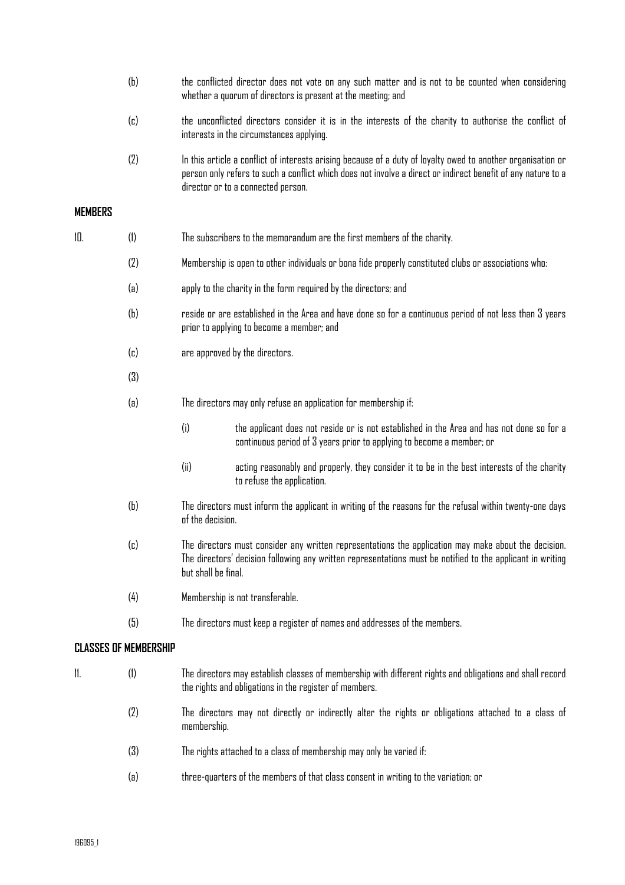- (b) the conflicted director does not vote on any such matter and is not to be counted when considering whether a quorum of directors is present at the meeting; and
- (c) the unconflicted directors consider it is in the interests of the charity to authorise the conflict of interests in the circumstances applying.
- (2) In this article a conflict of interests arising because of a duty of loyalty owed to another organisation or person only refers to such a conflict which does not involve a direct or indirect benefit of any nature to a director or to a connected person.

# **MEMBERS**

| 10.                          | (1) |                                                                                                      | The subscribers to the memorandum are the first members of the charity.                                                                                                                                            |  |
|------------------------------|-----|------------------------------------------------------------------------------------------------------|--------------------------------------------------------------------------------------------------------------------------------------------------------------------------------------------------------------------|--|
|                              | (2) | Membership is open to other individuals or bona fide properly constituted clubs or associations who: |                                                                                                                                                                                                                    |  |
|                              | (a) | apply to the charity in the form required by the directors; and                                      |                                                                                                                                                                                                                    |  |
|                              | (b) |                                                                                                      | reside or are established in the Area and have done so for a continuous period of not less than 3 years<br>prior to applying to become a member; and                                                               |  |
|                              | (c) | are approved by the directors.                                                                       |                                                                                                                                                                                                                    |  |
|                              | (3) |                                                                                                      |                                                                                                                                                                                                                    |  |
|                              | (a) |                                                                                                      | The directors may only refuse an application for membership if:                                                                                                                                                    |  |
|                              |     | (i)                                                                                                  | the applicant does not reside or is not established in the Area and has not done so for a<br>continuous period of 3 years prior to applying to become a member; or                                                 |  |
|                              |     | (ii)                                                                                                 | acting reasonably and properly, they consider it to be in the best interests of the charity<br>to refuse the application.                                                                                          |  |
|                              | (b) | of the decision.                                                                                     | The directors must inform the applicant in writing of the reasons for the refusal within twenty-one days                                                                                                           |  |
|                              | (c) | but shall be final.                                                                                  | The directors must consider any written representations the application may make about the decision.<br>The directors' decision following any written representations must be notified to the applicant in writing |  |
|                              | (4) |                                                                                                      | Membership is not transferable.                                                                                                                                                                                    |  |
|                              | (5) |                                                                                                      | The directors must keep a register of names and addresses of the members.                                                                                                                                          |  |
| <b>CLASSES OF MEMBERSHIP</b> |     |                                                                                                      |                                                                                                                                                                                                                    |  |
| 11.                          | (1) |                                                                                                      | The directors may establish classes of membership with different rights and obligations and shall record<br>the rights and obligations in the register of members.                                                 |  |
|                              | (2) | membership.                                                                                          | The directors may not directly or indirectly alter the rights or obligations attached to a class of                                                                                                                |  |
|                              | (3) |                                                                                                      | The rights attached to a class of membership may only be varied if:                                                                                                                                                |  |
|                              | (a) |                                                                                                      | three-quarters of the members of that class consent in writing to the variation; or                                                                                                                                |  |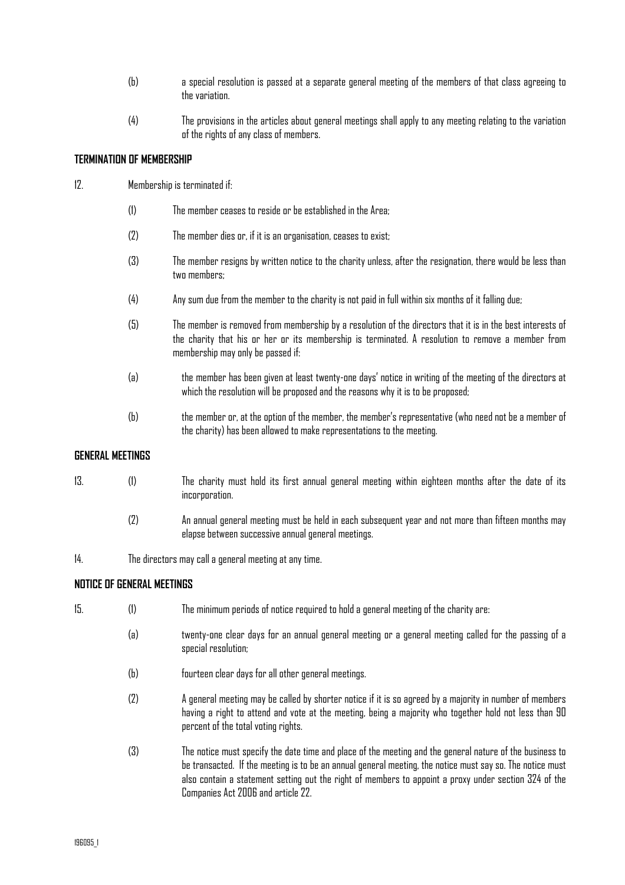- (b) a special resolution is passed at a separate general meeting of the members of that class agreeing to the variation.
- (4) The provisions in the articles about general meetings shall apply to any meeting relating to the variation of the rights of any class of members.

## **TERMINATION OF MEMBERSHIP**

- 12. Membership is terminated if:
	- (1) The member ceases to reside or be established in the Area;
	- (2) The member dies or, if it is an organisation, ceases to exist;
	- (3) The member resigns by written notice to the charity unless, after the resignation, there would be less than two members:
	- (4) Any sum due from the member to the charity is not paid in full within six months of it falling due;
	- (5) The member is removed from membership by a resolution of the directors that it is in the best interests of the charity that his or her or its membership is terminated. A resolution to remove a member from membership may only be passed if:
	- (a) the member has been given at least twenty-one days' notice in writing of the meeting of the directors at which the resolution will be proposed and the reasons why it is to be proposed;
	- (b) the member or, at the option of the member, the member's representative (who need not be a member of the charity) has been allowed to make representations to the meeting.

## **GENERAL MEETINGS**

- 13. (1) The charity must hold its first annual general meeting within eighteen months after the date of its incorporation.
	- (2) An annual general meeting must be held in each subsequent year and not more than fifteen months may elapse between successive annual general meetings.

14. The directors may call a general meeting at any time.

# **NOTICE OF GENERAL MEETINGS**

- 15. (1) The minimum periods of notice required to hold a general meeting of the charity are:
	- (a) twenty-one clear days for an annual general meeting or a general meeting called for the passing of a special resolution;
	- (b) fourteen clear days for all other general meetings.
	- (2) A general meeting may be called by shorter notice if it is so agreed by a majority in number of members having a right to attend and vote at the meeting, being a majority who together hold not less than 90 percent of the total voting rights.
	- (3) The notice must specify the date time and place of the meeting and the general nature of the business to be transacted. If the meeting is to be an annual general meeting, the notice must say so. The notice must also contain a statement setting out the right of members to appoint a proxy under section 324 of the Companies Act 2006 and article 22.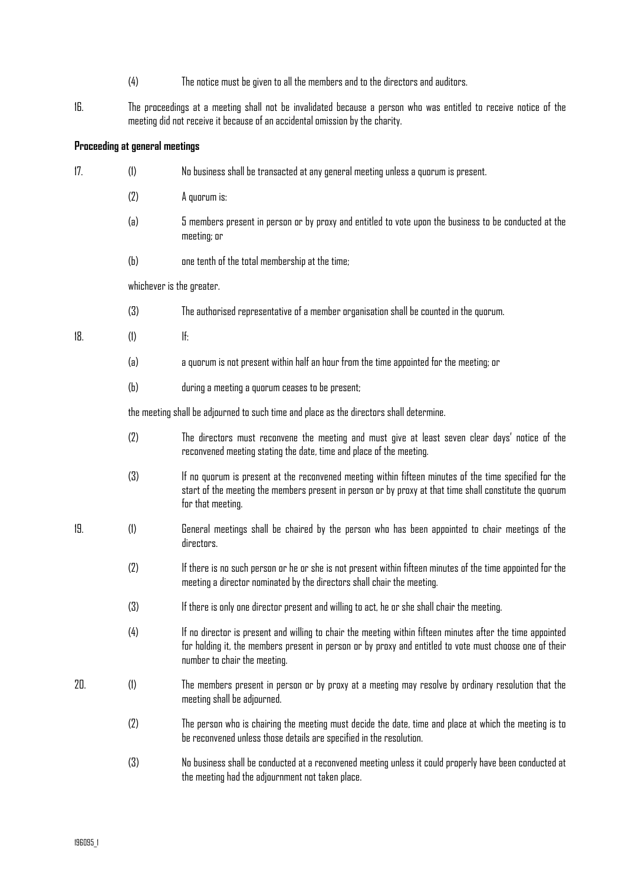- (4) The notice must be given to all the members and to the directors and auditors.
- 16. The proceedings at a meeting shall not be invalidated because a person who was entitled to receive notice of the meeting did not receive it because of an accidental omission by the charity.

# **Proceeding at general meetings**

| 17. | (1) | No business shall be transacted at any general meeting unless a quorum is present.                                                                                                                                                                    |  |  |  |
|-----|-----|-------------------------------------------------------------------------------------------------------------------------------------------------------------------------------------------------------------------------------------------------------|--|--|--|
|     | (2) | A quorum is:                                                                                                                                                                                                                                          |  |  |  |
|     | (a) | 5 members present in person or by proxy and entitled to vote upon the business to be conducted at the<br>meeting; or                                                                                                                                  |  |  |  |
|     | (b) | one tenth of the total membership at the time;                                                                                                                                                                                                        |  |  |  |
|     |     | whichever is the greater.                                                                                                                                                                                                                             |  |  |  |
|     | (3) | The authorised representative of a member organisation shall be counted in the quorum.                                                                                                                                                                |  |  |  |
| 18. | (1) | lf:                                                                                                                                                                                                                                                   |  |  |  |
|     | (a) | a quorum is not present within half an hour from the time appointed for the meeting; or                                                                                                                                                               |  |  |  |
|     | (b) | during a meeting a quorum ceases to be present;                                                                                                                                                                                                       |  |  |  |
|     |     | the meeting shall be adjourned to such time and place as the directors shall determine.                                                                                                                                                               |  |  |  |
|     | (2) | The directors must reconvene the meeting and must give at least seven clear days' notice of the<br>reconvened meeting stating the date, time and place of the meeting.                                                                                |  |  |  |
|     | (3) | If no quorum is present at the reconvened meeting within fifteen minutes of the time specified for the<br>start of the meeting the members present in person or by proxy at that time shall constitute the quorum<br>for that meeting.                |  |  |  |
| 19. | (1) | General meetings shall be chaired by the person who has been appointed to chair meetings of the<br>directors.                                                                                                                                         |  |  |  |
|     | (2) | If there is no such person or he or she is not present within fifteen minutes of the time appointed for the<br>meeting a director nominated by the directors shall chair the meeting.                                                                 |  |  |  |
|     | (3) | If there is only one director present and willing to act, he or she shall chair the meeting.                                                                                                                                                          |  |  |  |
|     | (4) | If no director is present and willing to chair the meeting within fifteen minutes after the time appointed<br>for holding it, the members present in person or by proxy and entitled to vote must choose one of their<br>number to chair the meeting. |  |  |  |
| 20. | (1) | The members present in person or by proxy at a meeting may resolve by ordinary resolution that the<br>meeting shall be adjourned.                                                                                                                     |  |  |  |
|     | (2) | The person who is chairing the meeting must decide the date, time and place at which the meeting is to<br>be reconvened unless those details are specified in the resolution.                                                                         |  |  |  |
|     | (3) | No business shall be conducted at a reconvened meeting unless it could properly have been conducted at<br>the meeting had the adjournment not taken place.                                                                                            |  |  |  |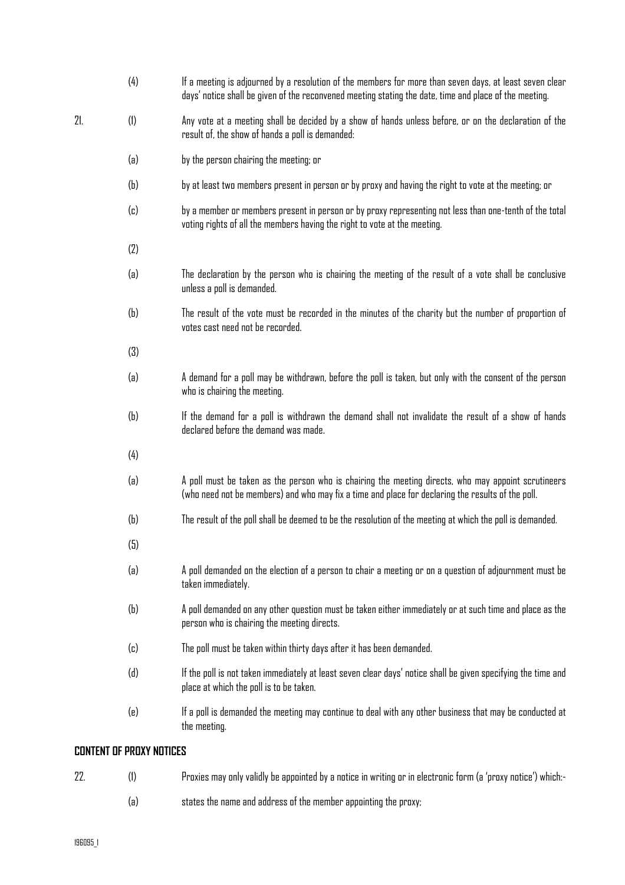|     | (4)       | If a meeting is adjourned by a resolution of the members for more than seven days, at least seven clear<br>days' notice shall be given of the reconvened meeting stating the date, time and place of the meeting. |
|-----|-----------|-------------------------------------------------------------------------------------------------------------------------------------------------------------------------------------------------------------------|
| 21. | (1)       | Any vote at a meeting shall be decided by a show of hands unless before, or on the declaration of the<br>result of, the show of hands a poll is demanded:                                                         |
|     | (a)       | by the person chairing the meeting; or                                                                                                                                                                            |
|     | (b)       | by at least two members present in person or by proxy and having the right to vote at the meeting; or                                                                                                             |
|     | (c)       | by a member or members present in person or by proxy representing not less than one-tenth of the total<br>voting rights of all the members having the right to vote at the meeting.                               |
|     | (2)       |                                                                                                                                                                                                                   |
|     | (a)       | The declaration by the person who is chairing the meeting of the result of a vote shall be conclusive<br>unless a poll is demanded.                                                                               |
|     | (b)       | The result of the vote must be recorded in the minutes of the charity but the number of proportion of<br>votes cast need not be recorded.                                                                         |
|     | (3)       |                                                                                                                                                                                                                   |
|     | (a)       | A demand for a poll may be withdrawn, before the poll is taken, but only with the consent of the person<br>who is chairing the meeting.                                                                           |
|     | (b)       | If the demand for a poll is withdrawn the demand shall not invalidate the result of a show of hands<br>declared before the demand was made.                                                                       |
|     | (4)       |                                                                                                                                                                                                                   |
|     | (a)       | A poll must be taken as the person who is chairing the meeting directs, who may appoint scrutineers<br>(who need not be members) and who may fix a time and place for declaring the results of the poll.          |
|     | (b)       | The result of the poll shall be deemed to be the resolution of the meeting at which the poll is demanded.                                                                                                         |
|     | (5)       |                                                                                                                                                                                                                   |
|     | (a)       | A poll demanded on the election of a person to chair a meeting or on a question of adjournment must be<br>taken immediately.                                                                                      |
|     | (b)       | A poll demanded on any other question must be taken either immediately or at such time and place as the<br>person who is chairing the meeting directs.                                                            |
|     | $\left( $ | The poll must be taken within thirty days after it has been demanded.                                                                                                                                             |
|     | (d)       | If the poll is not taken immediately at least seven clear days' notice shall be given specifying the time and<br>place at which the poll is to be taken.                                                          |
|     | (e)       | If a poll is demanded the meeting may continue to deal with any other business that may be conducted at<br>the meeting.                                                                                           |
|     |           |                                                                                                                                                                                                                   |

# **CONTENT OF PROXY NOTICES**

- 22. (1) Proxies may only validly be appointed by a notice in writing or in electronic form (a 'proxy notice') which:-
	- (a) states the name and address of the member appointing the proxy;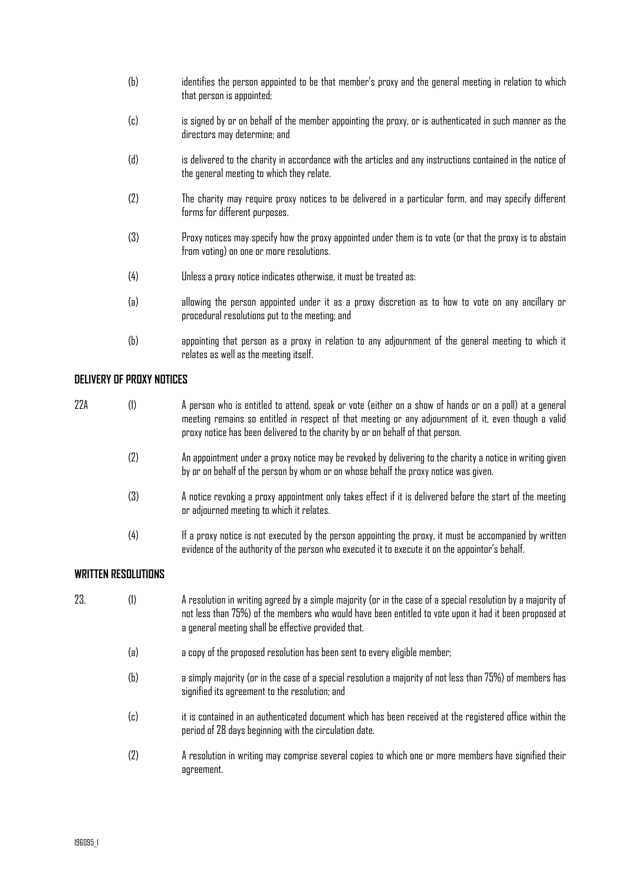- (b) identifies the person appointed to be that member's proxy and the general meeting in relation to which that person is appointed;
- (c) is signed by or on behalf of the member appointing the proxy, or is authenticated in such manner as the directors may determine; and
- (d) is delivered to the charity in accordance with the articles and any instructions contained in the notice of the general meeting to which they relate.
- (2) The charity may require proxy notices to be delivered in a particular form, and may specify different forms for different purposes.
- (3) Proxy notices may specify how the proxy appointed under them is to vote (or that the proxy is to abstain from voting) on one or more resolutions.
- (4) Unless a proxy notice indicates otherwise, it must be treated as:
- (a) allowing the person appointed under it as a proxy discretion as to how to vote on any ancillary or procedural resolutions put to the meeting; and
- (b) appointing that person as a proxy in relation to any adjournment of the general meeting to which it relates as well as the meeting itself.

# **DELIVERY OF PROXY NOTICES**

| 22A | (1) | A person who is entitled to attend, speak or vote (either on a show of hands or on a poll) at a general<br>meeting remains so entitled in respect of that meeting or any adjournment of it, even though a valid<br>proxy notice has been delivered to the charity by or on behalf of that person. |
|-----|-----|---------------------------------------------------------------------------------------------------------------------------------------------------------------------------------------------------------------------------------------------------------------------------------------------------|
|     | (2) | An appointment under a proxy notice may be revoked by delivering to the charity a notice in writing given<br>by or on behalf of the person by whom or on whose behalf the proxy notice was given.                                                                                                 |
|     | (3) | A notice revoking a proxy appointment only takes effect if it is delivered before the start of the meeting<br>or adjourned meeting to which it relates.                                                                                                                                           |
|     | (4) | If a proxy notice is not executed by the person appointing the proxy, it must be accompanied by written<br>evidence of the authority of the person who executed it to execute it on the appointor's behalf.                                                                                       |

# **WRITTEN RESOLUTIONS**

- 23. (1) A resolution in writing agreed by a simple majority (or in the case of a special resolution by a majority of not less than 75%) of the members who would have been entitled to vote upon it had it been proposed at a general meeting shall be effective provided that.
	- (a) a copy of the proposed resolution has been sent to every eligible member;
	- (b) a simply majority (or in the case of a special resolution a majority of not less than 75%) of members has signified its agreement to the resolution; and
	- (c) it is contained in an authenticated document which has been received at the registered office within the period of 28 days beginning with the circulation date.
	- (2) A resolution in writing may comprise several copies to which one or more members have signified their agreement.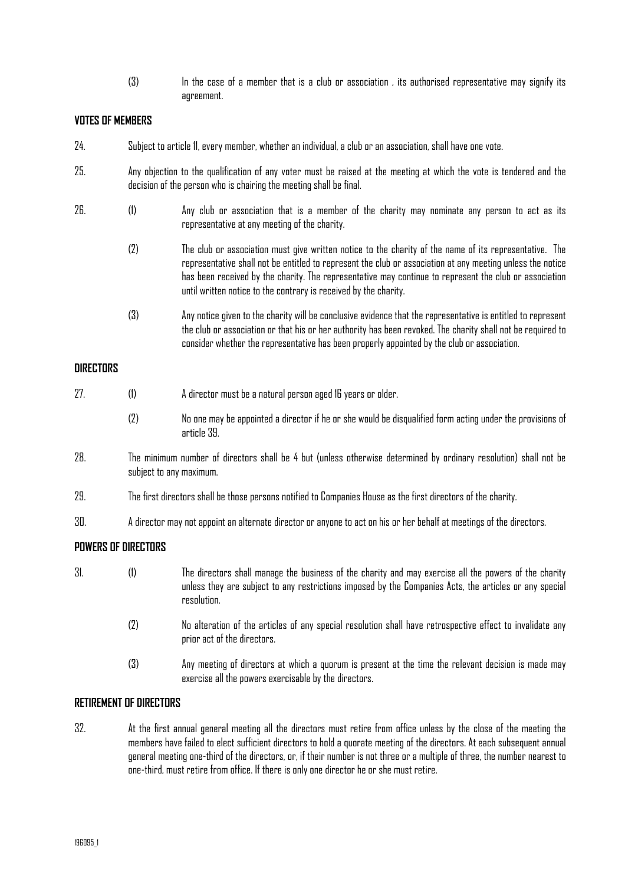(3) In the case of a member that is a club or association , its authorised representative may signify its agreement.

# **VOTES OF MEMBERS**

- 24. Subject to article 11, every member, whether an individual, a club or an association, shall have one vote.
- 25. Any objection to the qualification of any voter must be raised at the meeting at which the vote is tendered and the decision of the person who is chairing the meeting shall be final.
- 26. (1) Any club or association that is a member of the charity may nominate any person to act as its representative at any meeting of the charity.
	- (2) The club or association must give written notice to the charity of the name of its representative. The representative shall not be entitled to represent the club or association at any meeting unless the notice has been received by the charity. The representative may continue to represent the club or association until written notice to the contrary is received by the charity.
	- (3) Any notice given to the charity will be conclusive evidence that the representative is entitled to represent the club or association or that his or her authority has been revoked. The charity shall not be required to consider whether the representative has been properly appointed by the club or association.

## **DIRECTORS**

- 27. (1) A director must be a natural person aged 16 years or older.
	- (2) No one may be appointed a director if he or she would be disqualified form acting under the provisions of article 39.
- 28. The minimum number of directors shall be 4 but (unless otherwise determined by ordinary resolution) shall not be subject to any maximum.
- 29. The first directors shall be those persons notified to Companies House as the first directors of the charity.
- 30. A director may not appoint an alternate director or anyone to act on his or her behalf at meetings of the directors.

# **POWERS OF DIRECTORS**

- 31. (1) The directors shall manage the business of the charity and may exercise all the powers of the charity unless they are subject to any restrictions imposed by the Companies Acts, the articles or any special resolution.
	- (2) No alteration of the articles of any special resolution shall have retrospective effect to invalidate any prior act of the directors.
	- (3) Any meeting of directors at which a quorum is present at the time the relevant decision is made may exercise all the powers exercisable by the directors.

## **RETIREMENT OF DIRECTORS**

32. At the first annual general meeting all the directors must retire from office unless by the close of the meeting the members have failed to elect sufficient directors to hold a quorate meeting of the directors. At each subsequent annual general meeting one-third of the directors, or, if their number is not three or a multiple of three, the number nearest to one-third, must retire from office. If there is only one director he or she must retire.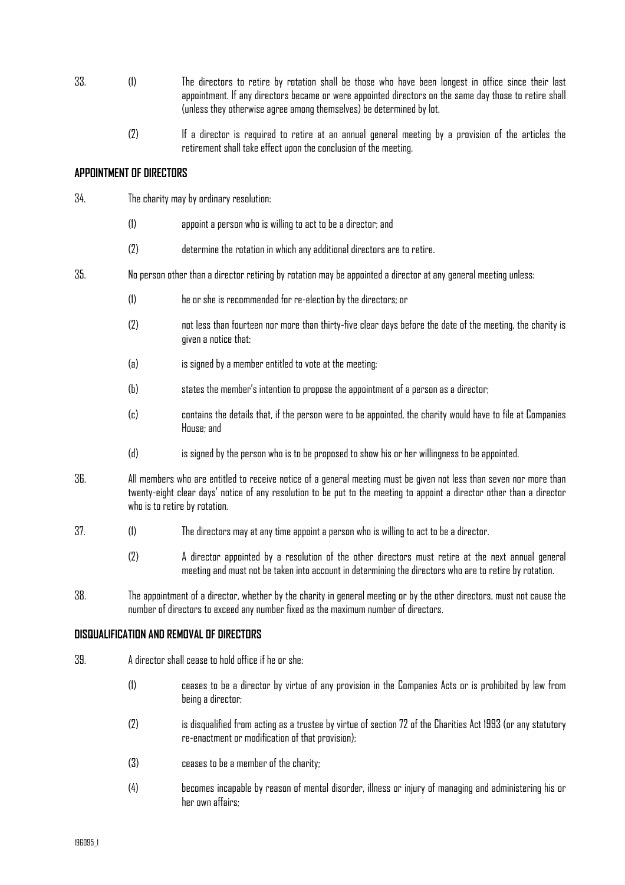- 33. (1) The directors to retire by rotation shall be those who have been longest in office since their last appointment. If any directors became or were appointed directors on the same day those to retire shall (unless they otherwise agree among themselves) be determined by lot.
	- (2) If a director is required to retire at an annual general meeting by a provision of the articles the retirement shall take effect upon the conclusion of the meeting.

# **APPOINTMENT OF DIRECTORS**

- 34. The charity may by ordinary resolution:
	- (1) appoint a person who is willing to act to be a director; and
	- (2) determine the rotation in which any additional directors are to retire.
- 35. No person other than a director retiring by rotation may be appointed a director at any general meeting unless:
	- (1) he or she is recommended for re-election by the directors; or
	- (2) not less than fourteen nor more than thirty-five clear days before the date of the meeting, the charity is given a notice that:
	- (a) is signed by a member entitled to vote at the meeting;
	- (b) states the member's intention to propose the appointment of a person as a director;
	- (c) contains the details that, if the person were to be appointed, the charity would have to file at Companies House; and
	- (d) is signed by the person who is to be proposed to show his or her willingness to be appointed.
- 36. All members who are entitled to receive notice of a general meeting must be given not less than seven nor more than twenty-eight clear days' notice of any resolution to be put to the meeting to appoint a director other than a director who is to retire by rotation.
- 37. (1) The directors may at any time appoint a person who is willing to act to be a director.
	- (2) A director appointed by a resolution of the other directors must retire at the next annual general meeting and must not be taken into account in determining the directors who are to retire by rotation.
- 38. The appointment of a director, whether by the charity in general meeting or by the other directors, must not cause the number of directors to exceed any number fixed as the maximum number of directors.

## **DISQUALIFICATION AND REMOVAL OF DIRECTORS**

- 39. A director shall cease to hold office if he or she:
	- (1) ceases to be a director by virtue of any provision in the Companies Acts or is prohibited by law from being a director;
	- (2) is disqualified from acting as a trustee by virtue of section 72 of the Charities Act 1993 (or any statutory re-enactment or modification of that provision);
	- (3) ceases to be a member of the charity;
	- (4) becomes incapable by reason of mental disorder, illness or injury of managing and administering his or her own affairs;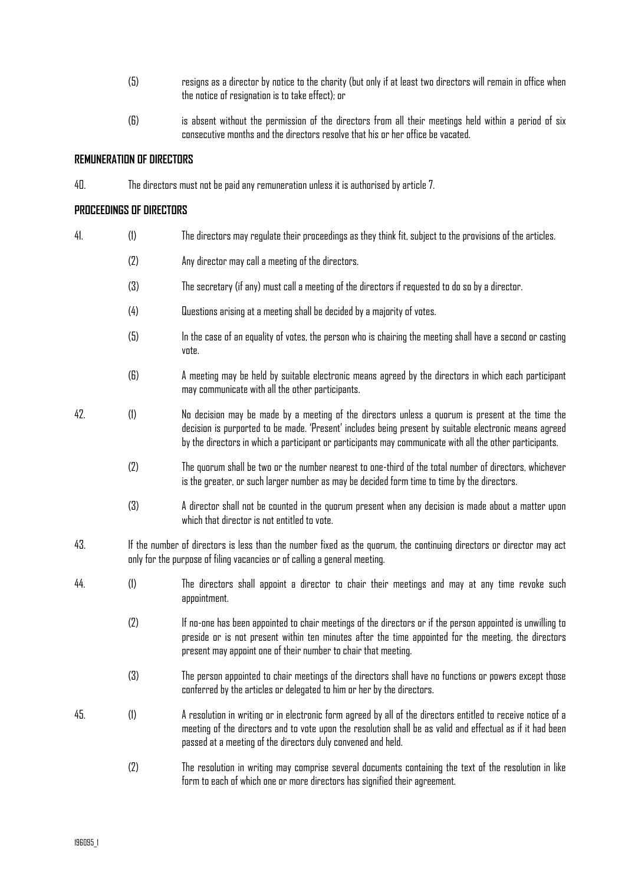- (5) resigns as a director by notice to the charity (but only if at least two directors will remain in office when the notice of resignation is to take effect); or
- (6) is absent without the permission of the directors from all their meetings held within a period of six consecutive months and the directors resolve that his or her office be vacated.

#### **REMUNERATION OF DIRECTORS**

40. The directors must not be paid any remuneration unless it is authorised by article 7.

## **PROCEEDINGS OF DIRECTORS**

- 41. (1) The directors may regulate their proceedings as they think fit, subject to the provisions of the articles. (2) Any director may call a meeting of the directors. (3) The secretary (if any) must call a meeting of the directors if requested to do so by a director. (4) Questions arising at a meeting shall be decided by a majority of votes. (5) In the case of an equality of votes, the person who is chairing the meeting shall have a second or casting vote. (6) A meeting may be held by suitable electronic means agreed by the directors in which each participant may communicate with all the other participants.
- 42. (1) No decision may be made by a meeting of the directors unless a quorum is present at the time the decision is purported to be made. 'Present' includes being present by suitable electronic means agreed by the directors in which a participant or participants may communicate with all the other participants.
	- (2) The quorum shall be two or the number nearest to one-third of the total number of directors, whichever is the greater, or such larger number as may be decided form time to time by the directors.
	- (3) A director shall not be counted in the quorum present when any decision is made about a matter upon which that director is not entitled to vote.
- 43. If the number of directors is less than the number fixed as the quorum, the continuing directors or director may act only for the purpose of filing vacancies or of calling a general meeting.
- 44. (1) The directors shall appoint a director to chair their meetings and may at any time revoke such appointment.
	- (2) If no-one has been appointed to chair meetings of the directors or if the person appointed is unwilling to preside or is not present within ten minutes after the time appointed for the meeting, the directors present may appoint one of their number to chair that meeting.
	- (3) The person appointed to chair meetings of the directors shall have no functions or powers except those conferred by the articles or delegated to him or her by the directors.
- 45. (1) A resolution in writing or in electronic form agreed by all of the directors entitled to receive notice of a meeting of the directors and to vote upon the resolution shall be as valid and effectual as if it had been passed at a meeting of the directors duly convened and held.
	- (2) The resolution in writing may comprise several documents containing the text of the resolution in like form to each of which one or more directors has signified their agreement.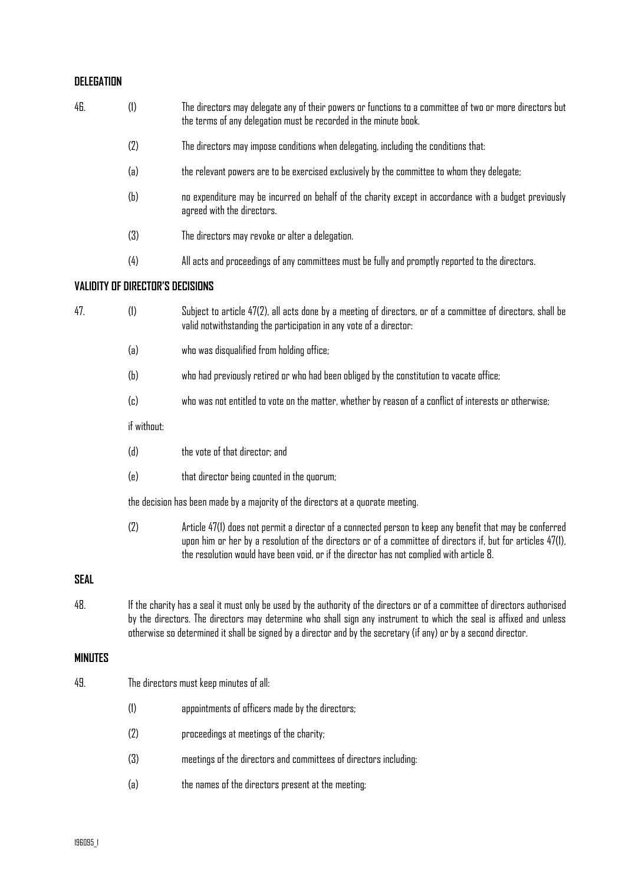# **DELEGATION**

| 46.            | (1)                                                                                                                                                                                                                                                                                                                                                                  | The directors may delegate any of their powers or functions to a committee of two or more directors but<br>the terms of any delegation must be recorded in the minute book.                                                                                                                                         |
|----------------|----------------------------------------------------------------------------------------------------------------------------------------------------------------------------------------------------------------------------------------------------------------------------------------------------------------------------------------------------------------------|---------------------------------------------------------------------------------------------------------------------------------------------------------------------------------------------------------------------------------------------------------------------------------------------------------------------|
|                | (2)                                                                                                                                                                                                                                                                                                                                                                  | The directors may impose conditions when delegating, including the conditions that:                                                                                                                                                                                                                                 |
|                | (a)                                                                                                                                                                                                                                                                                                                                                                  | the relevant powers are to be exercised exclusively by the committee to whom they delegate;                                                                                                                                                                                                                         |
|                | (b)                                                                                                                                                                                                                                                                                                                                                                  | no expenditure may be incurred on behalf of the charity except in accordance with a budget previously<br>agreed with the directors.                                                                                                                                                                                 |
|                | (3)                                                                                                                                                                                                                                                                                                                                                                  | The directors may revoke or alter a delegation.                                                                                                                                                                                                                                                                     |
|                | (4)                                                                                                                                                                                                                                                                                                                                                                  | All acts and proceedings of any committees must be fully and promptly reported to the directors.                                                                                                                                                                                                                    |
|                | <b>VALIDITY OF DIRECTOR'S DECISIONS</b>                                                                                                                                                                                                                                                                                                                              |                                                                                                                                                                                                                                                                                                                     |
| 47.            | (1)                                                                                                                                                                                                                                                                                                                                                                  | Subject to article 47(2), all acts done by a meeting of directors, or of a committee of directors, shall be<br>valid notwithstanding the participation in any vote of a director:                                                                                                                                   |
|                | (a)                                                                                                                                                                                                                                                                                                                                                                  | who was disqualified from holding office;                                                                                                                                                                                                                                                                           |
|                | (b)                                                                                                                                                                                                                                                                                                                                                                  | who had previously retired or who had been obliged by the constitution to vacate office;                                                                                                                                                                                                                            |
|                | (c)                                                                                                                                                                                                                                                                                                                                                                  | who was not entitled to vote on the matter, whether by reason of a conflict of interests or otherwise;                                                                                                                                                                                                              |
|                | if without:                                                                                                                                                                                                                                                                                                                                                          |                                                                                                                                                                                                                                                                                                                     |
|                | (d)                                                                                                                                                                                                                                                                                                                                                                  | the vote of that director; and                                                                                                                                                                                                                                                                                      |
|                | (e)                                                                                                                                                                                                                                                                                                                                                                  | that director being counted in the quorum;                                                                                                                                                                                                                                                                          |
|                |                                                                                                                                                                                                                                                                                                                                                                      | the decision has been made by a majority of the directors at a quorate meeting.                                                                                                                                                                                                                                     |
|                | (2)                                                                                                                                                                                                                                                                                                                                                                  | Article 47(1) does not permit a director of a connected person to keep any benefit that may be conferred<br>upon him or her by a resolution of the directors or of a committee of directors if, but for articles 47(1),<br>the resolution would have been void, or if the director has not complied with article 8. |
| <b>SEAL</b>    |                                                                                                                                                                                                                                                                                                                                                                      |                                                                                                                                                                                                                                                                                                                     |
| 48.            | If the charity has a seal it must only be used by the authority of the directors or of a committee of directors authorised<br>by the directors. The directors may determine who shall sign any instrument to which the seal is affixed and unless<br>otherwise so determined it shall be signed by a director and by the secretary (if any) or by a second director. |                                                                                                                                                                                                                                                                                                                     |
| <b>MINUTES</b> |                                                                                                                                                                                                                                                                                                                                                                      |                                                                                                                                                                                                                                                                                                                     |
| 49.            |                                                                                                                                                                                                                                                                                                                                                                      | The directors must keep minutes of all:                                                                                                                                                                                                                                                                             |
|                | (1)                                                                                                                                                                                                                                                                                                                                                                  | appointments of officers made by the directors;                                                                                                                                                                                                                                                                     |
|                | (2)                                                                                                                                                                                                                                                                                                                                                                  | proceedings at meetings of the charity;                                                                                                                                                                                                                                                                             |
|                | (3)                                                                                                                                                                                                                                                                                                                                                                  | meetings of the directors and committees of directors including:                                                                                                                                                                                                                                                    |
|                | (a)                                                                                                                                                                                                                                                                                                                                                                  | the names of the directors present at the meeting;                                                                                                                                                                                                                                                                  |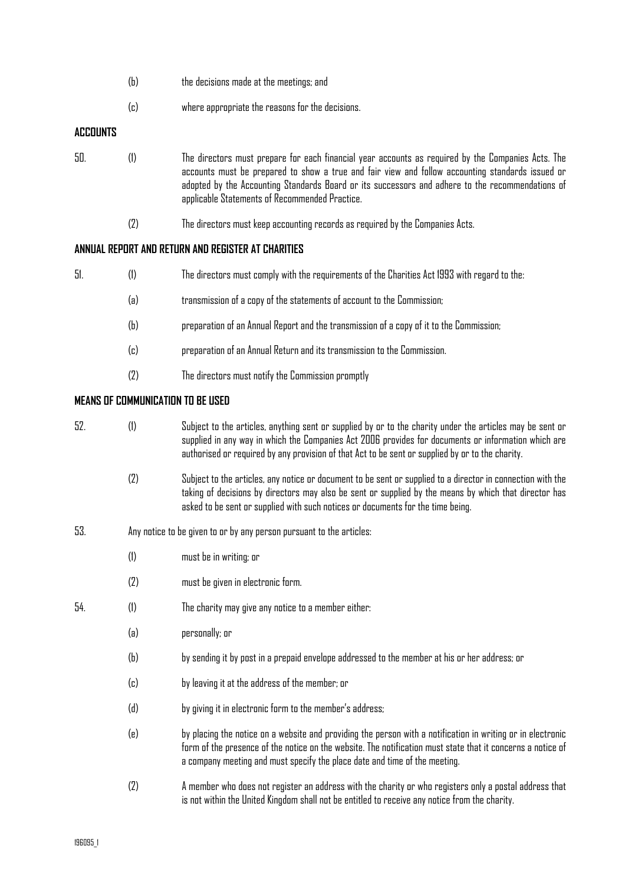|                 | (b) | the decisions made at the meetings; and                                                                                                                                                                                                                                                                                                                      |
|-----------------|-----|--------------------------------------------------------------------------------------------------------------------------------------------------------------------------------------------------------------------------------------------------------------------------------------------------------------------------------------------------------------|
|                 | (c) | where appropriate the reasons for the decisions.                                                                                                                                                                                                                                                                                                             |
| <b>ACCOUNTS</b> |     |                                                                                                                                                                                                                                                                                                                                                              |
| 50.             | (1) | The directors must prepare for each financial year accounts as required by the Companies Acts. The<br>accounts must be prepared to show a true and fair view and follow accounting standards issued or<br>adopted by the Accounting Standards Board or its successors and adhere to the recommendations of<br>applicable Statements of Recommended Practice. |
|                 |     | The directors must keep accounting records as required by the Companies Acts.                                                                                                                                                                                                                                                                                |

# **ANNUAL REPORT AND RETURN AND REGISTER AT CHARITIES**

| uı. | . The directors must comply with the requirements of the Charities Act 1993 with regard to the |  |
|-----|------------------------------------------------------------------------------------------------|--|
|     |                                                                                                |  |

- (a) transmission of a copy of the statements of account to the Commission;
- (b) preparation of an Annual Report and the transmission of a copy of it to the Commission;
- (c) preparation of an Annual Return and its transmission to the Commission.
- (2) The directors must notify the Commission promptly

## **MEANS OF COMMUNICATION TO BE USED**

- 52. (1) Subject to the articles, anything sent or supplied by or to the charity under the articles may be sent or supplied in any way in which the Companies Act 2006 provides for documents or information which are authorised or required by any provision of that Act to be sent or supplied by or to the charity.
	- (2) Subject to the articles, any notice or document to be sent or supplied to a director in connection with the taking of decisions by directors may also be sent or supplied by the means by which that director has asked to be sent or supplied with such notices or documents for the time being.
- 53. Any notice to be given to or by any person pursuant to the articles:
	- (1) must be in writing; or
	- (2) must be given in electronic form.
- 54. (1) The charity may give any notice to a member either:
	- (a) personally; or
	- (b) by sending it by post in a prepaid envelope addressed to the member at his or her address; or
	- (c) by leaving it at the address of the member; or
	- (d) by giving it in electronic form to the member's address;
	- (e) by placing the notice on a website and providing the person with a notification in writing or in electronic form of the presence of the notice on the website. The notification must state that it concerns a notice of a company meeting and must specify the place date and time of the meeting.
	- (2) A member who does not register an address with the charity or who registers only a postal address that is not within the United Kingdom shall not be entitled to receive any notice from the charity.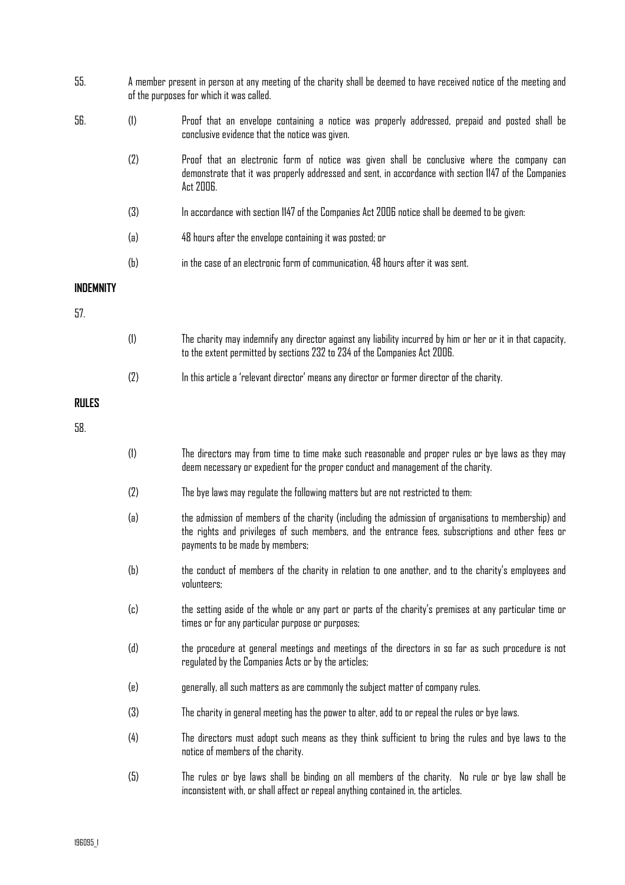| 55.              |           | A member present in person at any meeting of the charity shall be deemed to have received notice of the meeting and<br>of the purposes for which it was called.                                                                              |  |
|------------------|-----------|----------------------------------------------------------------------------------------------------------------------------------------------------------------------------------------------------------------------------------------------|--|
| 56.              | (1)       | Proof that an envelope containing a notice was properly addressed, prepaid and posted shall be<br>conclusive evidence that the notice was given.                                                                                             |  |
|                  | (2)       | Proof that an electronic form of notice was given shall be conclusive where the company can<br>demonstrate that it was properly addressed and sent, in accordance with section 1147 of the Companies<br>Act 2006.                            |  |
|                  | (3)       | In accordance with section 1147 of the Companies Act 2006 notice shall be deemed to be given:                                                                                                                                                |  |
|                  | (a)       | 48 hours after the envelope containing it was posted; or                                                                                                                                                                                     |  |
|                  | (b)       | in the case of an electronic form of communication, 48 hours after it was sent.                                                                                                                                                              |  |
| <b>INDEMNITY</b> |           |                                                                                                                                                                                                                                              |  |
| 57.              |           |                                                                                                                                                                                                                                              |  |
|                  | (1)       | The charity may indemnify any director against any liability incurred by him or her or it in that capacity,<br>to the extent permitted by sections 232 to 234 of the Companies Act 2006.                                                     |  |
|                  | (2)       | In this article a 'relevant director' means any director or former director of the charity.                                                                                                                                                  |  |
| <b>RULES</b>     |           |                                                                                                                                                                                                                                              |  |
| 58.              |           |                                                                                                                                                                                                                                              |  |
|                  | (1)       | The directors may from time to time make such reasonable and proper rules or bye laws as they may<br>deem necessary or expedient for the proper conduct and management of the charity.                                                       |  |
|                  | (2)       | The bye laws may regulate the following matters but are not restricted to them:                                                                                                                                                              |  |
|                  | (a)       | the admission of members of the charity (including the admission of organisations to membership) and<br>the rights and privileges of such members, and the entrance fees, subscriptions and other fees or<br>payments to be made by members; |  |
|                  | (b)       | the conduct of members of the charity in relation to one another, and to the charity's employees and<br>volunteers;                                                                                                                          |  |
|                  | $\left( $ | the setting aside of the whole or any part or parts of the charity's premises at any particular time or<br>times or for any particular purpose or purposes;                                                                                  |  |
|                  | (d)       | the procedure at general meetings and meetings of the directors in so far as such procedure is not<br>regulated by the Companies Acts or by the articles;                                                                                    |  |
|                  | (e)       | generally, all such matters as are commonly the subject matter of company rules.                                                                                                                                                             |  |
|                  | (3)       | The charity in general meeting has the power to alter, add to or repeal the rules or bye laws.                                                                                                                                               |  |
|                  | (4)       | The directors must adopt such means as they think sufficient to bring the rules and bye laws to the<br>notice of members of the charity.                                                                                                     |  |
|                  | (5)       | The rules or bye laws shall be binding on all members of the charity. No rule or bye law shall be<br>inconsistent with, or shall affect or repeal anything contained in, the articles.                                                       |  |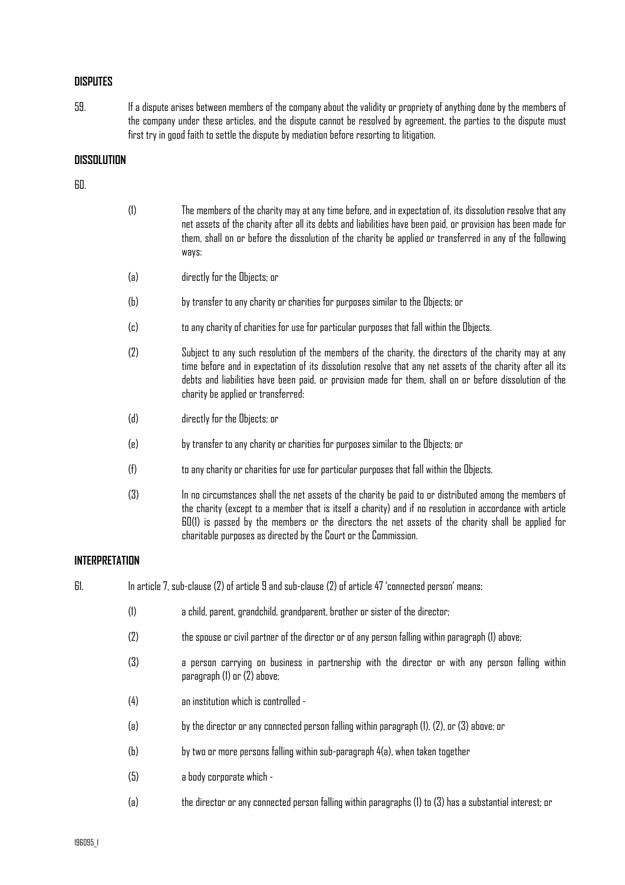# **DISPUTES**

59. If a dispute arises between members of the company about the validity or propriety of anything done by the members of the company under these articles, and the dispute cannot be resolved by agreement, the parties to the dispute must first try in good faith to settle the dispute by mediation before resorting to litigation.

# **DISSOLUTION**

# 60.

| (1) | The members of the charity may at any time before, and in expectation of, its dissolution resolve that any<br>net assets of the charity after all its debts and liabilities have been paid, or provision has been made for<br>them, shall on or before the dissolution of the charity be applied or transferred in any of the following<br>ways: |
|-----|--------------------------------------------------------------------------------------------------------------------------------------------------------------------------------------------------------------------------------------------------------------------------------------------------------------------------------------------------|
| (a) | directly for the Objects; or                                                                                                                                                                                                                                                                                                                     |
| (b) | by transfer to any charity or charities for purposes similar to the Objects; or                                                                                                                                                                                                                                                                  |
| (c) | to any charity of charities for use for particular purposes that fall within the Objects.                                                                                                                                                                                                                                                        |
| (2) | Subject to any such resolution of the members of the charity, the directors of the charity may at any<br>time before and in expectation of its dissolution resolve that any net assets of the charity after all its                                                                                                                              |

debts and liabilities have been paid, or provision made for them, shall on or before dissolution of the

(d) directly for the Objects; or

charity be applied or transferred:

- (e) by transfer to any charity or charities for purposes similar to the Objects; or
- (f) to any charity or charities for use for particular purposes that fall within the Objects.
- (3) In no circumstances shall the net assets of the charity be paid to or distributed among the members of the charity (except to a member that is itself a charity) and if no resolution in accordance with article 60(1) is passed by the members or the directors the net assets of the charity shall be applied for charitable purposes as directed by the Court or the Commission.

# **INTERPRETATION**

61. In article 7, sub-clause (2) of article 9 and sub-clause (2) of article 47 'connected person' means:

- (1) a child, parent, grandchild, grandparent, brother or sister of the director;
- (2) the spouse or civil partner of the director or of any person falling within paragraph (1) above;
- (3) a person carrying on business in partnership with the director or with any person falling within paragraph (1) or (2) above;
- (4) an institution which is controlled -
- (a) by the director or any connected person falling within paragraph (1), (2), or (3) above; or
- (b) by two or more persons falling within sub-paragraph 4(a), when taken together
- (5) a body corporate which -
- (a) the director or any connected person falling within paragraphs (1) to (3) has a substantial interest; or